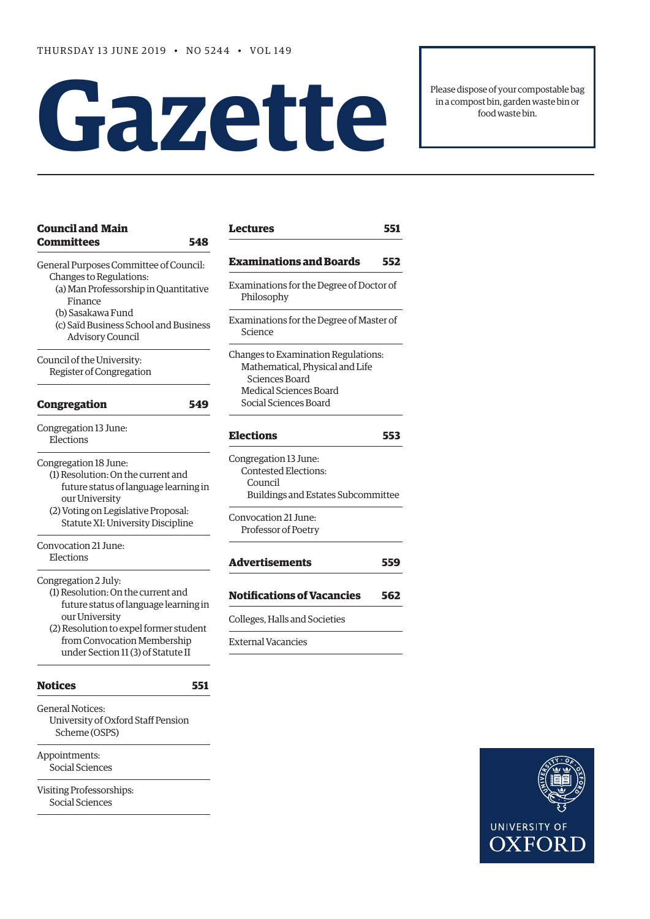# **Gazet te**

Please dispose of your compostable bag in a compost bin, garden waste bin or food waste bin.

| <b>Council and Main</b><br><b>Committees</b><br>548                                                                                                           | <b>Lectures</b>                                                                                       | 551 |
|---------------------------------------------------------------------------------------------------------------------------------------------------------------|-------------------------------------------------------------------------------------------------------|-----|
| General Purposes Committee of Council:                                                                                                                        | <b>Examinations and Boards</b>                                                                        | 552 |
| Changes to Regulations:<br>(a) Man Professorship in Quantitative<br>Finance                                                                                   | Examinations for the Degree of Doctor of<br>Philosophy                                                |     |
| (b) Sasakawa Fund<br>(c) Saïd Business School and Business<br><b>Advisory Council</b>                                                                         | Examinations for the Degree of Master of<br>Science                                                   |     |
| Council of the University:<br>Register of Congregation                                                                                                        | Changes to Examination Regulations:<br>Mathematical, Physical and Life<br>Sciences Board              |     |
| <b>Congregation</b><br>549                                                                                                                                    | Medical Sciences Board<br>Social Sciences Board                                                       |     |
| Congregation 13 June:<br>Elections                                                                                                                            | <b>Elections</b>                                                                                      | 553 |
| Congregation 18 June:<br>(1) Resolution: On the current and<br>future status of language learning in<br>our University<br>(2) Voting on Legislative Proposal: | Congregation 13 June:<br><b>Contested Elections:</b><br>Council<br>Buildings and Estates Subcommittee |     |
| Statute XI: University Discipline<br>Convocation 21 June:                                                                                                     | Convocation 21 June:<br>Professor of Poetry                                                           |     |
| Elections                                                                                                                                                     | <b>Advertisements</b>                                                                                 | 559 |
| Congregation 2 July:<br>(1) Resolution: On the current and<br>future status of language learning in                                                           | <b>Notifications of Vacancies</b>                                                                     | 562 |
| our University<br>(2) Resolution to expel former student                                                                                                      | Colleges, Halls and Societies                                                                         |     |
| from Convocation Membership<br>under Section 11 (3) of Statute II                                                                                             | <b>External Vacancies</b>                                                                             |     |
| <b>Notices</b><br>551                                                                                                                                         |                                                                                                       |     |
| <b>General Notices:</b><br>University of Oxford Staff Pension<br>Scheme (OSPS)                                                                                |                                                                                                       |     |
| Appointments:<br>Social Sciences                                                                                                                              |                                                                                                       |     |
| Visiting Professorships:<br>Social Sciences                                                                                                                   |                                                                                                       |     |

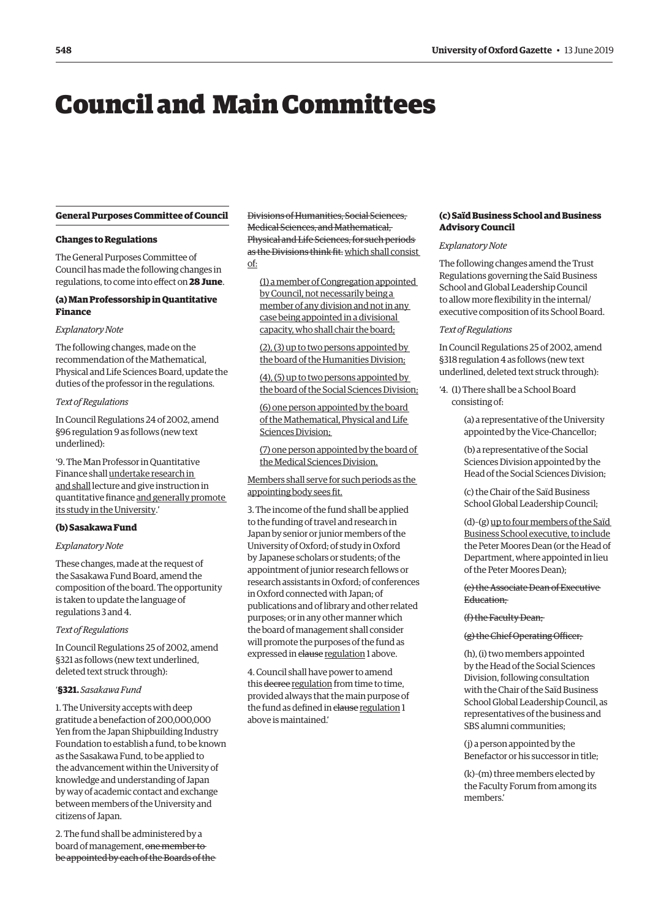# <span id="page-1-0"></span>Council and Main Committees

# **General Purposes Committee of Council**

# **Changes to Regulations**

The General Purposes Committee of Council has made the following changes in regulations, to come into effect on **28 June**.

# **(a) Man Professorship in Quantitative Finance**

#### *Explanatory Note*

The following changes, made on the recommendation of the Mathematical, Physical and Life Sciences Board, update the duties of the professor in the regulations.

#### *Text of Regulations*

In Council Regulations 24 of 2002, amend §96 regulation 9 as follows (new text underlined):

'9. The Man Professor in Quantitative Finance shall undertake research in and shall lecture and give instruction in quantitative finance and generally promote its study in the University.'

## **(b) Sasakawa Fund**

# *Explanatory Note*

These changes, made at the request of the Sasakawa Fund Board, amend the composition of the board. The opportunity is taken to update the language of regulations 3 and 4.

#### *Text of Regulations*

In Council Regulations 25 of 2002, amend §321 as follows (new text underlined, deleted text struck through):

# '**§321.** *Sasakawa Fund*

1. The University accepts with deep gratitude a benefaction of 200,000,000 Yen from the Japan Shipbuilding Industry Foundation to establish a fund, to be known as the Sasakawa Fund, to be applied to the advancement within the University of knowledge and understanding of Japan by way of academic contact and exchange between members of the University and citizens of Japan.

2. The fund shall be administered by a board of management, one member to be appointed by each of the Boards of the Divisions of Humanities, Social Sciences, Medical Sciences, and Mathematical, Physical and Life Sciences, for such periods as the Divisions think fit. which shall consist of:

(1) a member of Congregation appointed by Council, not necessarily being a member of any division and not in any case being appointed in a divisional capacity, who shall chair the board;

(2), (3) up to two persons appointed by the board of the Humanities Division;

(4), (5) up to two persons appointed by the board of the Social Sciences Division;

(6) one person appointed by the board of the Mathematical, Physical and Life Sciences Division;

(7) one person appointed by the board of the Medical Sciences Division.

Members shall serve for such periods as the appointing body sees fit.

3. The income of the fund shall be applied to the funding of travel and research in Japan by senior or junior members of the University of Oxford; of study in Oxford by Japanese scholars or students; of the appointment of junior research fellows or research assistants in Oxford; of conferences in Oxford connected with Japan; of publications and of library and other related purposes; or in any other manner which the board of management shall consider will promote the purposes of the fund as expressed in clause regulation 1 above.

4. Council shall have power to amend this decree regulation from time to time, provided always that the main purpose of the fund as defined in clause regulation 1 above is maintained.'

# **(c) Saïd Business School and Business Advisory Council**

# *Explanatory Note*

The following changes amend the Trust Regulations governing the Saïd Business School and Global Leadership Council to allow more flexibility in the internal/ executive composition of its School Board.

#### *Text of Regulations*

In Council Regulations 25 of 2002, amend §318 regulation 4 as follows (new text underlined, deleted text struck through):

'4. (1) There shall be a School Board consisting of:

> (a) a representative of the University appointed by the Vice-Chancellor;

(b) a representative of the Social Sciences Division appointed by the Head of the Social Sciences Division;

(c) the Chair of the Saïd Business School Global Leadership Council;

(d)–(g) up to four members of the Saïd Business School executive, to include the Peter Moores Dean (or the Head of Department, where appointed in lieu of the Peter Moores Dean);

(e) the Associate Dean of Executive Education;

#### (f) the Faculty Dean;

#### (g) the Chief Operating Officer;

(h), (i) two members appointed by the Head of the Social Sciences Division, following consultation with the Chair of the Saïd Business School Global Leadership Council, as representatives of the business and SBS alumni communities;

(j) a person appointed by the Benefactor or his successor in title;

(k)–(m) three members elected by the Faculty Forum from among its members.'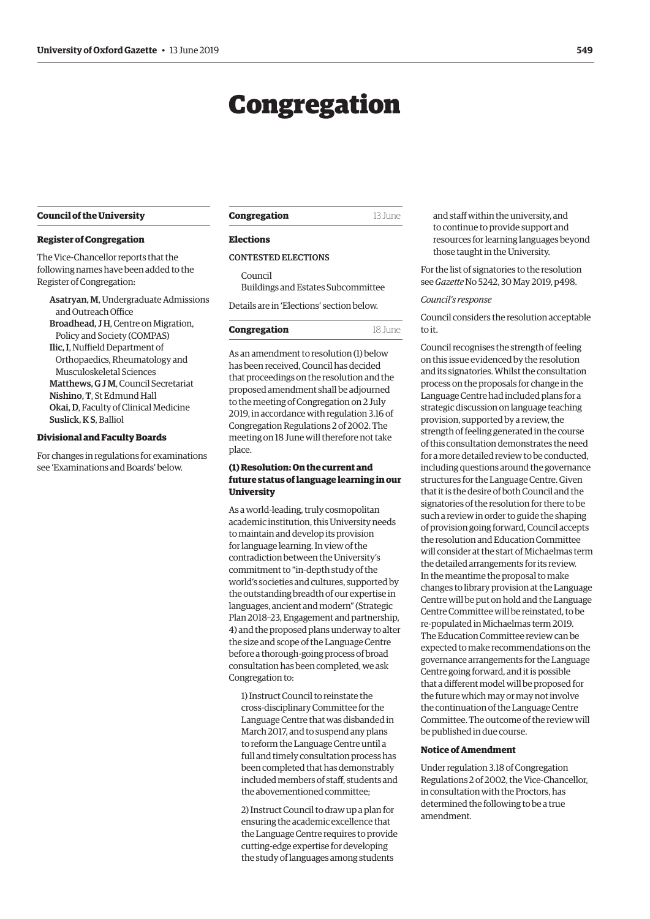# Congregation

#### <span id="page-2-0"></span>**Council of the University**

#### **Register of Congregation**

The Vice-Chancellor reports that the following names have been added to the Register of Congregation:

Asatryan, M, Undergraduate Admissions and Outreach Office Broadhead, J H, Centre on Migration, Policy and Society (COMPAS) Ilic, I, Nuffield Department of Orthopaedics, Rheumatology and Musculoskeletal Sciences Matthews, G J M, Council Secretariat Nishino, T, St Edmund Hall Okai, D, Faculty of Clinical Medicine Suslick, KS, Balliol

# **Divisional and Faculty Boards**

For changes in regulations for examinations se[e 'Examinations and Boards'](#page-6-0) below.

#### **Congregation** 13 June

# **Elections**

# CONTESTED ELECTIONS

Council Buildings and Estates Subcommittee Details are in '[Elections'](#page-6-0) section below.

# **Congregation** 18 June

As an amendment to resolution (1) below has been received, Council has decided that proceedings on the resolution and the proposed amendment shall be adjourned to the meeting of Congregation on 2 July 2019, in accordance with regulation 3.16 of Congregation Regulations 2 of 2002. The meeting on 18 June will therefore not take place.

# **(1) Resolution: On the current and future status of language learning in our University**

As a world-leading, truly cosmopolitan academic institution, this University needs to maintain and develop its provision for language learning. In view of the contradiction between the University's commitment to "in-depth study of the world's societies and cultures, supported by the outstanding breadth of our expertise in languages, ancient and modern" (Strategic Plan 2018–23, Engagement and partnership, 4) and the proposed plans underway to alter the size and scope of the Language Centre before a thorough-going process of broad consultation has been completed, we ask Congregation to:

1) Instruct Council to reinstate the cross-disciplinary Committee for the Language Centre that was disbanded in March 2017, and to suspend any plans to reform the Language Centre until a full and timely consultation process has been completed that has demonstrably included members of staff, students and the abovementioned committee;

2) Instruct Council to draw up a plan for ensuring the academic excellence that the Language Centre requires to provide cutting-edge expertise for developing the study of languages among students

and staff within the university, and to continue to provide support and resources for learning languages beyond those taught in the University.

For the list of signatories to the resolution see *Gazette* [No 5242, 30 May 2019, p498.](https://gazette.web.ox.ac.uk/files/30may2019-no5242redactedpdf#page=4)

#### *Council's response*

Council considers the resolution acceptable to it.

Council recognises the strength of feeling on this issue evidenced by the resolution and its signatories. Whilst the consultation process on the proposals for change in the Language Centre had included plans for a strategic discussion on language teaching provision, supported by a review, the strength of feeling generated in the course of this consultation demonstrates the need for a more detailed review to be conducted, including questions around the governance structures for the Language Centre. Given that it is the desire of both Council and the signatories of the resolution for there to be such a review in order to guide the shaping of provision going forward, Council accepts the resolution and Education Committee will consider at the start of Michaelmas term the detailed arrangements for its review. In the meantime the proposal to make changes to library provision at the Language Centre will be put on hold and the Language Centre Committee will be reinstated, to be re-populated in Michaelmas term 2019. The Education Committee review can be expected to make recommendations on the governance arrangements for the Language Centre going forward, and it is possible that a different model will be proposed for the future which may or may not involve the continuation of the Language Centre Committee. The outcome of the review will be published in due course.

#### **Notice of Amendment**

Under regulation 3.18 of Congregation Regulations 2 of 2002, the Vice-Chancellor, in consultation with the Proctors, has determined the following to be a true amendment.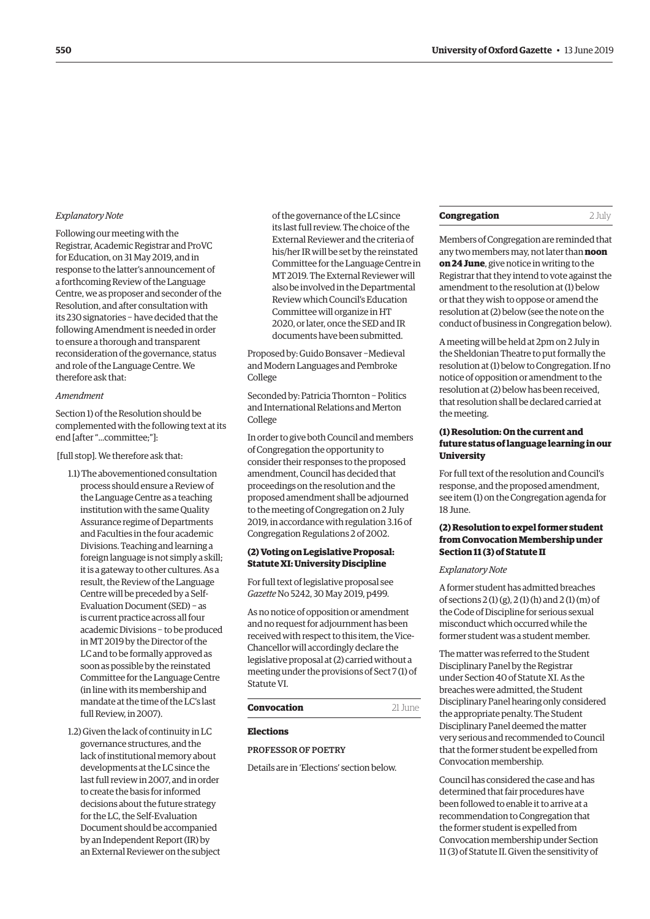#### <span id="page-3-0"></span>*Explanatory Note*

Following our meeting with the Registrar, Academic Registrar and ProVC for Education, on 31 May 2019, and in response to the latter's announcement of a forthcoming Review of the Language Centre, we as proposer and seconder of the Resolution, and after consultation with its 230 signatories − have decided that the following Amendment is needed in order to ensure a thorough and transparent reconsideration of the governance, status and role of the Language Centre. We therefore ask that:

#### *Amendment*

Section 1) of the Resolution should be complemented with the following text at its end [after "...committee;"]:

#### [full stop]. We therefore ask that:

- 1.1) The abovementioned consultation process should ensure a Review of the Language Centre as a teaching institution with the same Quality Assurance regime of Departments and Faculties in the four academic Divisions. Teaching and learning a foreign language is not simply a skill; it is a gateway to other cultures. As a result, the Review of the Language Centre will be preceded by a Self-Evaluation Document (SED) − as is current practice across all four academic Divisions − to be produced in MT 2019 by the Director of the LC and to be formally approved as soon as possible by the reinstated Committee for the Language Centre (in line with its membership and mandate at the time of the LC's last full Review, in 2007).
- 1.2) Given the lack of continuity in LC governance structures, and the lack of institutional memory about developments at the LC since the last full review in 2007, and in order to create the basis for informed decisions about the future strategy for the LC, the Self-Evaluation Document should be accompanied by an Independent Report (IR) by an External Reviewer on the subject

of the governance of the LC since its last full review. The choice of the External Reviewer and the criteria of his/her IR will be set by the reinstated Committee for the Language Centre in MT 2019. The External Reviewer will also be involved in the Departmental Review which Council's Education Committee will organize in HT 2020, or later, once the SED and IR documents have been submitted.

Proposed by: Guido Bonsaver −Medieval and Modern Languages and Pembroke College

Seconded by: Patricia Thornton − Politics and International Relations and Merton College

In order to give both Council and members of Congregation the opportunity to consider their responses to the proposed amendment, Council has decided that proceedings on the resolution and the proposed amendment shall be adjourned to the meeting of Congregation on 2 July 2019, in accordance with regulation 3.16 of Congregation Regulations 2 of 2002.

# **(2) Voting on Legislative Proposal: Statute XI: University Discipline**

For full text of legislative proposal see *Gazette* [No 5242, 30 May 2019, p499.](https://gazette.web.ox.ac.uk/files/30may2019-no5242redactedpdf#page=5) 

As no notice of opposition or amendment and no request for adjournment has been received with respect to this item, the Vice-Chancellor will accordingly declare the legislative proposal at (2) carried without a meeting under the provisions of Sect 7 (1) of Statute VI.

# **Convocation** 21 June

#### **Elections**

PROFESSOR OF POETRY

Details are in ['Elections'](#page-7-0) section below.

# **Congregation** 2 July

Members of Congregation are reminded that any two members may, not later than **noon on 24 June**, give notice in writing to the Registrar that they intend to vote against the amendment to the resolution at (1) below or that they wish to oppose or amend the resolution at (2) below (see the note on the conduct of business in Congregation below).

A meeting will be held at 2pm on 2 July in the Sheldonian Theatre to put formally the resolution at (1) below to Congregation. If no notice of opposition or amendment to the resolution at (2) below has been received, that resolution shall be declared carried at the meeting.

# **(1) Resolution: On the current and future status of language learning in our University**

For full text of the resolution and Council's response, and the proposed amendment, see item (1) on the Congregation agenda for 18 June.

# **(2) Resolution to expel former student from Convocation Membership under Section 11 (3) of Statute II**

## *Explanatory Note*

A former student has admitted breaches of sections 2 (1) (g), 2 (1) (h) and 2 (1) (m) of the Code of Discipline for serious sexual misconduct which occurred while the former student was a student member.

The matter was referred to the Student Disciplinary Panel by the Registrar under Section 40 of Statute XI. As the breaches were admitted, the Student Disciplinary Panel hearing only considered the appropriate penalty. The Student Disciplinary Panel deemed the matter very serious and recommended to Council that the former student be expelled from Convocation membership.

Council has considered the case and has determined that fair procedures have been followed to enable it to arrive at a recommendation to Congregation that the former student is expelled from Convocation membership under Section 11 (3) of Statute II. Given the sensitivity of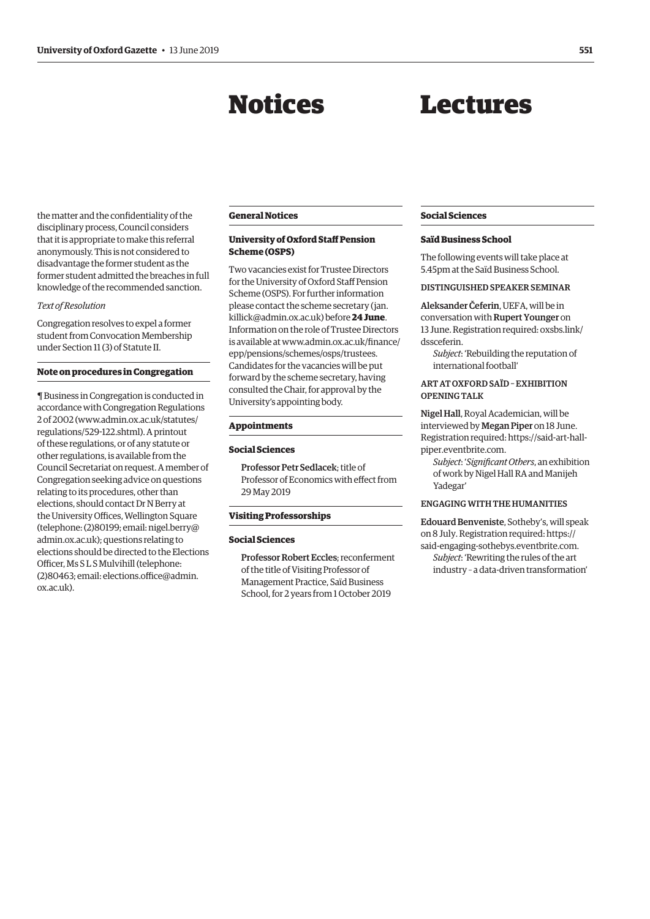# Notices

# Lectures

<span id="page-4-0"></span>the matter and the confidentiality of the disciplinary process, Council considers that it is appropriate to make this referral anonymously. This is not considered to disadvantage the former student as the former student admitted the breaches in full knowledge of the recommended sanction.

# *Text of Resolution*

Congregation resolves to expel a former student from Convocation Membership under Section 11 (3) of Statute II.

#### **Note on procedures in Congregation**

¶ Business in Congregation is conducted in accordance with Congregation Regulations 2 of 2002 [\(www.admin.ox.ac.uk/statutes/](http://www.admin.ox.ac.uk/statutes/regulations/529-122.shtml) [regulations/529-122.shtml\). A](http://www.admin.ox.ac.uk/statutes/regulations/529-122.shtml) printout of these regulations, or of any statute or other regulations, is available from the Council Secretariat on request. A member of Congregation seeking advice on questions relating to its procedures, other than elections, should contact Dr N Berry at the University Offices, Wellington Square (telephone: (2)80199; email[: nigel.berry@](mailto:nigel.berry@admin.ox.ac.uk) [admin.ox.ac.uk](mailto:nigel.berry@admin.ox.ac.uk)); questions relating to elections should be directed to the Elections Officer, Ms S L S Mulvihill (telephone: (2)80463; email: [elections.office@admin.](mailto:elections.office@admin.ox.ac.uk) [ox.ac.uk\)](mailto:elections.office@admin.ox.ac.uk).

# **General Notices**

# **University of Oxford Staff Pension Scheme (OSPS)**

Two vacancies exist for Trustee Directors for the University of Oxford Staff Pension Scheme (OSPS). For further information please contact the scheme secretary [\(jan.](mailto:jan.killick@admin.ox.ac.uk) [killick@admin.ox.ac.uk](mailto:jan.killick@admin.ox.ac.uk)) before **24 June**. Information on the role of Trustee Directors is available at [www.admin.ox.ac.uk/finance/](http://www.admin.ox.ac.uk/finance/epp/pensions/schemes/osps/trustees) [epp/pensions/schemes/osps/trustees.](http://www.admin.ox.ac.uk/finance/epp/pensions/schemes/osps/trustees) Candidates for the vacancies will be put forward by the scheme secretary, having consulted the Chair, for approval by the University's appointing body.

#### **Appointments**

#### **Social Sciences**

Professor Petr Sedlacek; title of Professor of Economics with effect from 29 May 2019

# **Visiting Professorships**

#### **Social Sciences**

Professor Robert Eccles; reconferment of the title of Visiting Professor of Management Practice, Saïd Business School, for 2 years from 1 October 2019

## **Social Sciences**

#### **Saïd Business School**

The following events will take place at 5.45pm at the Saïd Business School.

#### DISTINGUISHED SPEAKER SEMINAR

Aleksander Čeferin, UEFA, will be in conversation with Rupert Younger on 13 June. Registration required: [oxsbs.link/](http://oxsbs.link/dssceferin) [dssceferin.](http://oxsbs.link/dssceferin)

*Subject*: 'Rebuilding the reputation of international football'

# ART AT OXFORD SAÏD – EXHIBITION OPENING TALK

Nigel Hall, Royal Academician, will be interviewed by Megan Piper on 18 June. Registration required: [https://said-art-hall](https://said-art-hall-piper.eventbrite.com)[piper.eventbrite.com.](https://said-art-hall-piper.eventbrite.com)

*Subject*: '*Significant Others*, an exhibition of work by Nigel Hall RA and Manijeh Yadegar'

# ENGAGING WITH THE HUMANITIES

Edouard Benveniste, Sotheby's, will speak on 8 July. Registration required: [https://](https://said-engaging-sothebys.eventbrite.com) [said-engaging-sothebys.eventbrite.com.](https://said-engaging-sothebys.eventbrite.com) *Subject*: 'Rewriting the rules of the art industry – a data-driven transformation'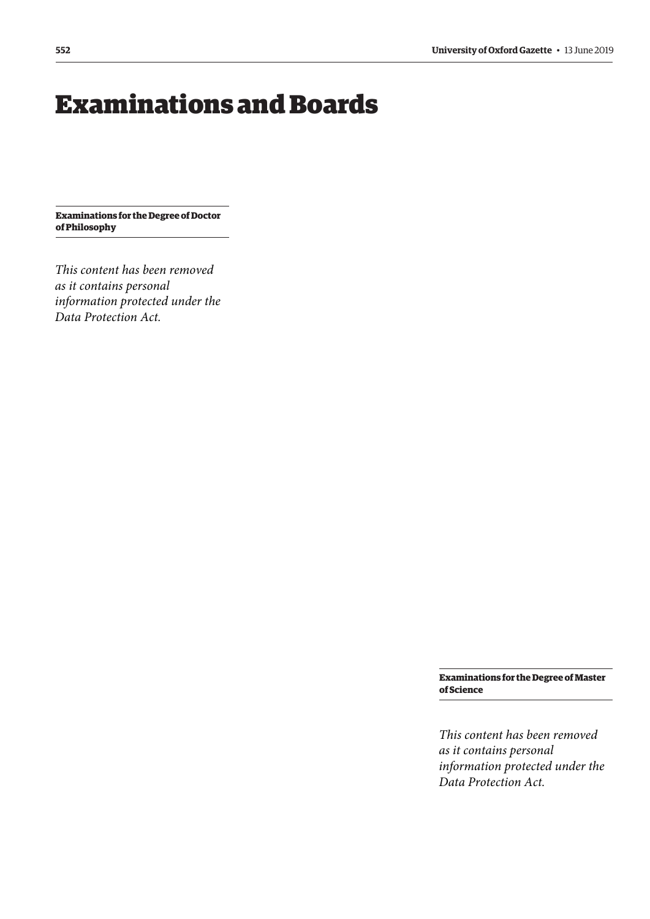# <span id="page-5-0"></span>Examinations and Boards

**Examinations for the Degree of Doctor of Philosophy**

*This content has been removed as it contains personal information protected under the Data Protection Act.*

> **Examinations for the Degree of Master of Science**

> *This content has been removed as it contains personal information protected under the Data Protection Act.*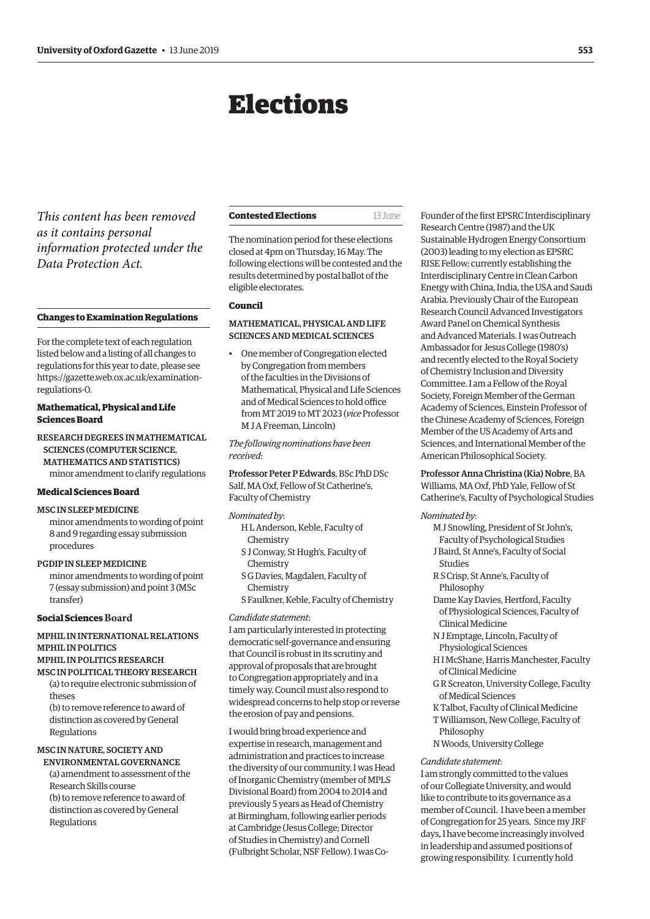# Elections

<span id="page-6-0"></span>*This content has been removed as it contains personal information protected under the Data Protection Act.*

#### **Changes to Examination Regulations**

For the complete text of each regulation listed below and a listing of all changes to regulations for this year to date, please see [https://gazette.web.ox.ac.uk/examination](https://gazette.web.ox.ac.uk/examination-regulations-0)regulations[-0.](https://gazette.web.ox.ac.uk/examination-regulations-0) 

# **Mathematical, Physical and Life Sciences Board**

# RESEARCH DEGREES IN MATHEMATICAL SCIENCES (COMPUTER SCIENCE, MATHEMATICS AND STATISTICS) minor amendment to clarify regulations

# **Medical Sciences Board**

# MSC IN SLEEP MEDICINE

minor amendments to wording of point 8 and 9 regarding essay submission procedures

# PGDIP IN SLEEP MEDICINE

minor amendments to wording of point 7 (essay submission) and point 3 (MSc transfer)

# **Social Sciences Board**

# MPHIL IN INTERNATIONAL RELATIONS MPHIL IN POLITICS

# MPHIL IN POLITICS RESEARCH

- MSC IN POLITICAL THEORY RESEARCH (a) to require electronic submission of theses
	- (b) to remove reference to award of distinction as covered by General Regulations

# MSC IN NATURE, SOCIETY AND

ENVIRONMENTAL GOVERNANCE (a) amendment to assessment of the Research Skills course (b) to remove reference to award of distinction as covered by General Regulations

| 13 June |
|---------|
|         |

The nomination period for these elections closed at 4pm on Thursday, 16 May. The following elections will be contested and the results determined by postal ballot of the eligible electorates.

# **Council**

# MATHEMATICAL, PHYSICAL AND LIFE SCIENCES AND MEDICAL SCIENCES

• One member of Congregation elected by Congregation from members of the faculties in the Divisions of Mathematical, Physical and Life Sciences and of Medical Sciences to hold office from MT 2019 to MT 2023 (*vice* Professor M J A Freeman, Lincoln)

*The following nominations have been received*:

Professor Peter P Edwards, BSc PhD DSc Salf, MA Oxf, Fellow of St Catherine's, Faculty of Chemistry

# *Nominated by*:

- H L Anderson, Keble, Faculty of Chemistry
- S J Conway, St Hugh's, Faculty of Chemistry
- S G Davies, Magdalen, Faculty of Chemistry
- S Faulkner, Keble, Faculty of Chemistry

#### *Candidate statement*:

I am particularly interested in protecting democratic self-governance and ensuring that Council is robust in its scrutiny and approval of proposals that are brought to Congregation appropriately and in a timely way. Council must also respond to widespread concerns to help stop or reverse the erosion of pay and pensions.

I would bring broad experience and expertise in research, management and administration and practices to increase the diversity of our community. I was Head of Inorganic Chemistry (member of MPLS Divisional Board) from 2004 to 2014 and previously 5 years as Head of Chemistry at Birmingham, following earlier periods at Cambridge (Jesus College; Director of Studies in Chemistry) and Cornell (Fulbright Scholar, NSF Fellow). I was CoFounder of the first EPSRC Interdisciplinary Research Centre (1987) and the UK Sustainable Hydrogen Energy Consortium (2003) leading to my election as EPSRC RISE Fellow; currently establishing the Interdisciplinary Centre in Clean Carbon Energy with China, India, the USA and Saudi Arabia. Previously Chair of the European Research Council Advanced Investigators Award Panel on Chemical Synthesis and Advanced Materials. I was Outreach Ambassador for Jesus College (1980's) and recently elected to the Royal Society of Chemistry Inclusion and Diversity Committee. I am a Fellow of the Royal Society, Foreign Member of the German Academy of Sciences, Einstein Professor of the Chinese Academy of Sciences, Foreign Member of the US Academy of Arts and Sciences, and International Member of the American Philosophical Society.

Professor Anna Christina (Kia) Nobre, BA Williams, MA Oxf, PhD Yale, Fellow of St Catherine's, Faculty of Psychological Studies

#### *Nominated by*:

- M J Snowling, President of St John's, Faculty of Psychological Studies
- J Baird, St Anne's, Faculty of Social
- Studies R S Crisp, St Anne's, Faculty of Philosophy
- Dame Kay Davies, Hertford, Faculty of Physiological Sciences, Faculty of Clinical Medicine
- N J Emptage, Lincoln, Faculty of Physiological Sciences
- H I McShane, Harris Manchester, Faculty of Clinical Medicine
- G R Screaton, University College, Faculty of Medical Sciences
- K Talbot, Faculty of Clinical Medicine
- T Williamson, New College, Faculty of Philosophy
- N Woods, University College

#### *Candidate statement*:

I am strongly committed to the values of our Collegiate University, and would like to contribute to its governance as a member of Council. I have been a member of Congregation for 25 years. Since my JRF days, I have become increasingly involved in leadership and assumed positions of growing responsibility. I currently hold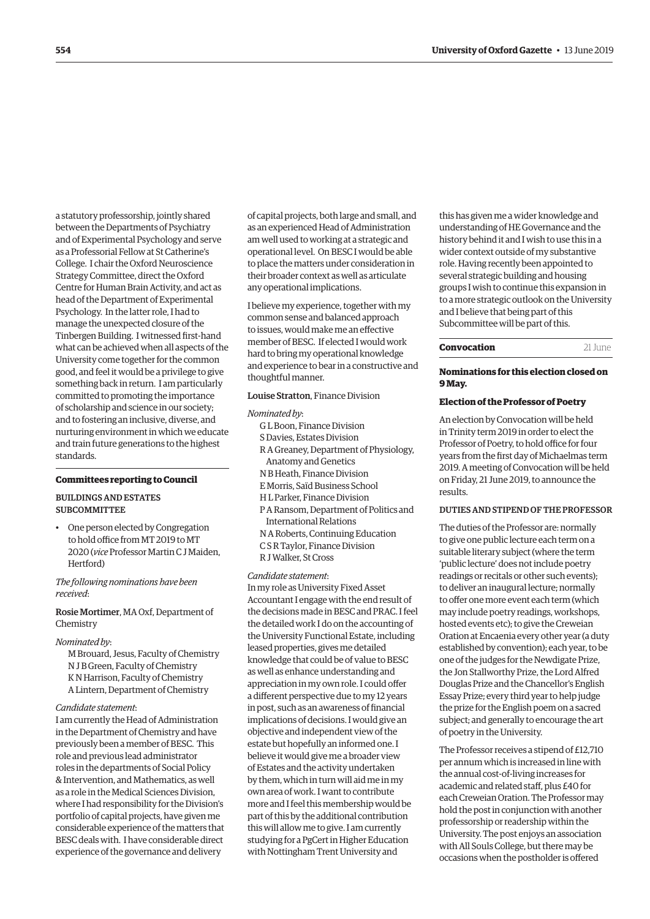<span id="page-7-0"></span>a statutory professorship, jointly shared between the Departments of Psychiatry and of Experimental Psychology and serve as a Professorial Fellow at St Catherine's College. I chair the Oxford Neuroscience Strategy Committee, direct the Oxford Centre for Human Brain Activity, and act as head of the Department of Experimental Psychology. In the latter role, I had to manage the unexpected closure of the Tinbergen Building. I witnessed first-hand what can be achieved when all aspects of the University come together for the common good, and feel it would be a privilege to give something back in return. I am particularly committed to promoting the importance of scholarship and science in our society; and to fostering an inclusive, diverse, and nurturing environment in which we educate and train future generations to the highest standards.

#### **Committees reporting to Council**

# BUILDINGS AND ESTATES SUBCOMMITTEE

• One person elected by Congregation to hold office from MT 2019 to MT 2020 (*vice* Professor Martin C J Maiden, Hertford)

*The following nominations have been received*:

Rosie Mortimer, MA Oxf, Department of Chemistry

#### *Nominated by*:

M Brouard, Jesus, Faculty of Chemistry N J B Green, Faculty of Chemistry K N Harrison, Faculty of Chemistry A Lintern, Department of Chemistry

#### *Candidate statement*:

I am currently the Head of Administration in the Department of Chemistry and have previously been a member of BESC. This role and previous lead administrator roles in the departments of Social Policy & Intervention, and Mathematics, as well as a role in the Medical Sciences Division, where I had responsibility for the Division's portfolio of capital projects, have given me considerable experience of the matters that BESC deals with. I have considerable direct experience of the governance and delivery

of capital projects, both large and small, and as an experienced Head of Administration am well used to working at a strategic and operational level. On BESC I would be able to place the matters under consideration in their broader context as well as articulate any operational implications.

I believe my experience, together with my common sense and balanced approach to issues, would make me an effective member of BESC. If elected I would work hard to bring my operational knowledge and experience to bear in a constructive and thoughtful manner.

# Louise Stratton, Finance Division

#### *Nominated by*:

- G L Boon, Finance Division
- S Davies, Estates Division
- R A Greaney, Department of Physiology,
- Anatomy and Genetics
- N B Heath, Finance Division
- E Morris, Saïd Business School
- H L Parker, Finance Division
- P A Ransom, Department of Politics and International Relations
- N A Roberts, Continuing Education
- C S R Taylor, Finance Division
- R J Walker, St Cross

#### *Candidate statement*:

In my role as University Fixed Asset Accountant I engage with the end result of the decisions made in BESC and PRAC. I feel the detailed work I do on the accounting of the University Functional Estate, including leased properties, gives me detailed knowledge that could be of value to BESC as well as enhance understanding and appreciation in my own role. I could offer a different perspective due to my 12 years in post, such as an awareness of financial implications of decisions. I would give an objective and independent view of the estate but hopefully an informed one. I believe it would give me a broader view of Estates and the activity undertaken by them, which in turn will aid me in my own area of work. I want to contribute more and I feel this membership would be part of this by the additional contribution this will allow me to give. I am currently studying for a PgCert in Higher Education with Nottingham Trent University and

this has given me a wider knowledge and understanding of HE Governance and the history behind it and I wish to use this in a wider context outside of my substantive role. Having recently been appointed to several strategic building and housing groups I wish to continue this expansion in to a more strategic outlook on the University and I believe that being part of this Subcommittee will be part of this.

#### **Convocation** 21 June

#### **Nominations for this election closed on 9 May.**

#### **Election of the Professor of Poetry**

An election by Convocation will be held in Trinity term 2019 in order to elect the Professor of Poetry, to hold office for four years from the first day of Michaelmas term 2019. A meeting of Convocation will be held on Friday, 21 June 2019, to announce the results.

# DUTIES AND STIPEND OF THE PROFESSOR

The duties of the Professor are: normally to give one public lecture each term on a suitable literary subject (where the term 'public lecture' does not include poetry readings or recitals or other such events); to deliver an inaugural lecture; normally to offer one more event each term (which may include poetry readings, workshops, hosted events etc); to give the Creweian Oration at Encaenia every other year (a duty established by convention); each year, to be one of the judges for the Newdigate Prize, the Jon Stallworthy Prize, the Lord Alfred Douglas Prize and the Chancellor's English Essay Prize; every third year to help judge the prize for the English poem on a sacred subject; and generally to encourage the art of poetry in the University.

The Professor receives a stipend of £12,710 per annum which is increased in line with the annual cost-of-living increases for academic and related staff, plus £40 for each Creweian Oration. The Professor may hold the post in conjunction with another professorship or readership within the University. The post enjoys an association with All Souls College, but there may be occasions when the postholder is offered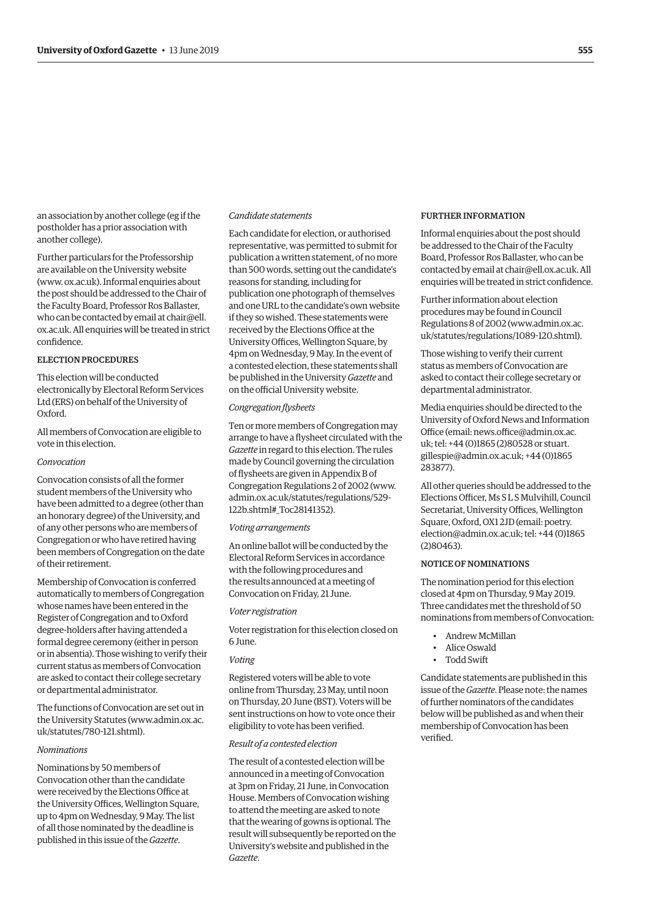an association by another college (eg if the postholder has a prior association with another college).

Further particulars for the Professorship are available on the University website [\(www. ox.ac.uk\). Inf](www.ox.ac.uk)ormal enquiries about the post should be addressed to the Chair of the Faculty Board, Professor Ros Ballaster, who can be contacted by email at chair@ell. [ox.ac.uk. All enquiries will be treated in strict](mailto:chair@ell.ox.ac.uk)  confidence.

# ELECTION PROCEDURES

This election will be conducted electronically by Electoral Reform Services Ltd (ERS) on behalf of the University of Oxford.

All members of Convocation are eligible to vote in this election.

#### *Convocation*

Convocation consists of all the former student members of the University who have been admitted to a degree (other than an honorary degree) of the University, and of any other persons who are members of Congregation or who have retired having been members of Congregation on the date of their retirement.

Membership of Convocation is conferred automatically to members of Congregation whose names have been entered in the Register of Congregation and to Oxford degree-holders after having attended a formal degree ceremony (either in person or in absentia). Those wishing to verify their current status as members of Convocation are asked to contact their college secretary or departmental administrator.

The functions of Convocation are set out in [the University Statutes \(www.admin.ox.ac.](www.admin.ox.ac.uk/statutes/780-121.shtml)  uk/statutes/780-121.shtml).

#### *Nominations*

Nominations by 50 members of Convocation other than the candidate were received by the Elections Office at the University Offices, Wellington Square, up to 4pm on Wednesday, 9 May. The list of all those nominated by the deadline is published in this issue of the *Gazette*.

# *Candidate statements*

Each candidate for election, or authorised representative, was permitted to submit for publication a written statement, of no more than 500 words, setting out the candidate's reasons for standing, including for publication one photograph of themselves and one URL to the candidate's own website if they so wished. These statements were received by the Elections Office at the University Offices, Wellington Square, by 4pm on Wednesday, 9 May. In the event of a contested election, these statements shall be published in the University *Gazette* and on the official University website.

#### *Congregation flysheets*

Ten or more members of Congregation may arrange to have a flysheet circulated with the *Gazette* in regard to this election. The rules made by Council governing the circulation of flysheets are given in Appendix B of Congregation Regulations 2 of 2002 ([www.](http://www.admin.ox.ac.uk/statutes/regulations/529-122b.shtml#_Toc28141352) [admin.ox.ac.uk/statutes/regulations/529-](http://www.admin.ox.ac.uk/statutes/regulations/529-122b.shtml#_Toc28141352) [122b.shtml#\\_Toc28141352\).](http://www.admin.ox.ac.uk/statutes/regulations/529-122b.shtml#_Toc28141352)

#### *Voting arrangements*

An online ballot will be conducted by the Electoral Reform Services in accordance with the following procedures and the results announced at a meeting of Convocation on Friday, 21 June.

#### *Voter registration*

Voter registration for this election closed on 6 June.

#### *Voting*

Registered voters will be able to vote online from Thursday, 23 May, until noon on Thursday, 20 June (BST). Voters will be sent instructions on how to vote once their eligibility to vote has been verified.

#### *Result of a contested election*

The result of a contested election will be announced in a meeting of Convocation at 3pm on Friday, 21 June, in Convocation House. Members of Convocation wishing to attend the meeting are asked to note that the wearing of gowns is optional. The result will subsequently be reported on the University's website and published in the *Gazette*.

#### FURTHER INFORMATION

Informal enquiries about the post should be addressed to the Chair of the Faculty Board, Professor Ros Ballaster, who can be contacted by email at [chair@ell.ox.ac.uk](mailto:chair%40ell.ox.ac.uk?subject=). All enquiries will be treated in strict confidence.

Further information about election procedures may be found in Council [Regulations 8 of 2002 \(www.admin.ox.ac.](www.admin.ox.ac.uk/statutes/regulations/1089-120.shtml)  uk/statutes/regulations/1089-120.shtml).

Those wishing to verify their current status as members of Convocation are asked to contact their college secretary or departmental administrator.

Media enquiries should be directed to the University of Oxford News and Information Office (email: [news.office@admin.ox.ac](mailto:news.office%40admin.ox.ac.uk?subject=). uk; tel: +44 (0)1865 (2)80528 or stuart. [gillespie@admin.ox.ac.uk](mailto:stuart.gillespie%40admin.ox.ac.uk?subject=); +44 (0)1865 283877).

All other queries should be addressed to the Elections Officer, Ms S L S Mulvihill, Council Secretariat, University Offices, Wellington Square, Oxford, OX1 2JD (email: poetry. [election@admin.ox.ac.uk](mailto:poetry.election%40admin.ox.ac.uk?subject=); tel: +44 (0)1865 (2)80463).

#### NOTICE OF NOMINATIONS

The nomination period for this election closed at 4pm on Thursday, 9 May 2019. Three candidates met the threshold of 50 nominations from members of Convocation:

- Andrew McMillan
- Alice Oswald
- Todd Swift

Candidate statements are published in this issue of the *Gazette*. Please note: the names of further nominators of the candidates below will be published as and when their membership of Convocation has been verified.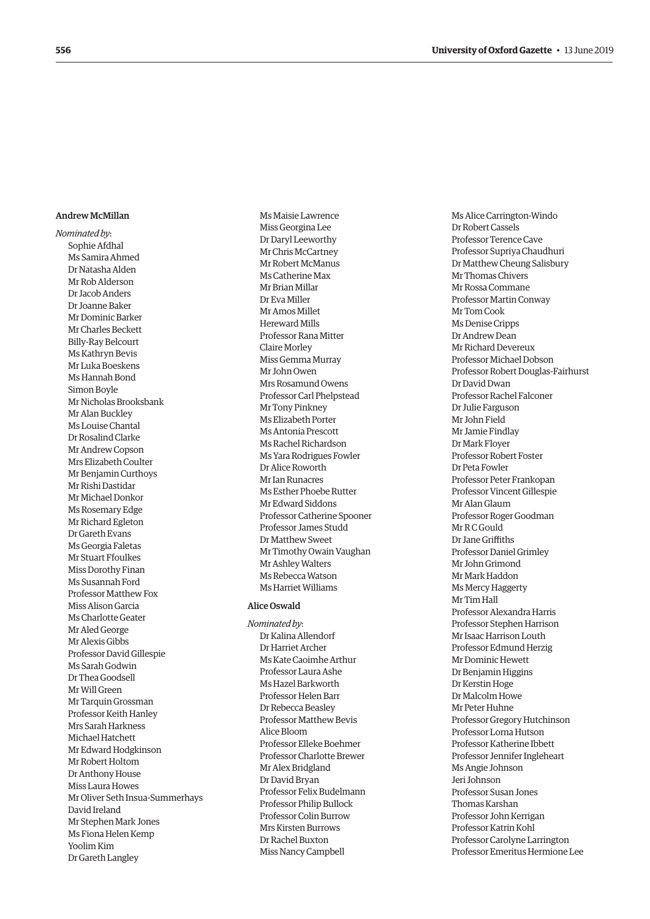# Andrew McMillan

*Nominated by* : Sophie Afdhal Ms Samira Ahmed Dr Natasha Alden Mr Rob Alderson Dr Jacob Anders Dr Joanne Baker Mr Dominic Barker Mr Charles Beckett Billy-Ray Belcourt Ms Kathryn Bevis Mr Luka Boeskens Ms Hannah Bond Simon Boyle Mr Nicholas Brooksbank Mr Alan Buckley Ms Louise Chantal Dr Rosalind Clarke Mr Andrew Copson Mrs Elizabeth Coulter Mr Benjamin Curthoys Mr Rishi Dastidar Mr Michael Donkor Ms Rosemary Edge Mr Richard Egleton Dr Gareth Evans Ms Georgia Faletas Mr Stuart Ffoulkes Miss Dorothy Finan Ms Susannah Ford Professor Matthew Fox Miss Alison Garcia Ms Charlotte Geater Mr Aled George Mr Alexis Gibbs Professor David Gillespie Ms Sarah Godwin Dr Thea Goodsell Mr Will Green Mr Tarquin Grossman Professor Keith Hanley Mrs Sarah Harkness Michael Hatchett Mr Edward Hodgkinson Mr Robert Holtom Dr Anthony House Miss Laura Howes Mr Oliver Seth Insua-Summerhays David Ireland Mr Stephen Mark Jones Ms Fiona Helen Kemp Yoolim Kim Dr Gareth Langley

Ms Maisie Lawrence Miss Georgina Lee Dr Daryl Leeworthy Mr Chris McCartney Mr Robert McManus Ms Catherine Max Mr Brian Millar Dr Eva Miller Mr Amos Millet Hereward Mills Professor Rana Mitter Claire Morley Miss Gemma Murray Mr John Owen Mrs Rosamund Owens Professor Carl Phelpstead Mr Tony Pinkney Ms Elizabeth Porter Ms Antonia Prescott Ms Rachel Richardson Ms Yara Rodrigues Fowler Dr Alice Roworth Mr Ian Runacres Ms Esther Phoebe Rutter Mr Edward Siddons Professor Catherine Spooner Professor James Studd Dr Matthew Sweet Mr Timothy Owain Vaughan Mr Ashley Walters Ms Rebecca Watson Ms Harriet Williams

#### Alice Oswald

*Nominated by* : Dr Kalina Allendorf Dr Harriet Archer Ms Kate Caoimhe Arthur Professor Laura Ashe Ms Hazel Barkworth Professor Helen Barr Dr Rebecca Beasley Professor Matthew Bevis Alice Bloom Professor Elleke Boehmer Professor Charlotte Brewer Mr Alex Bridgland Dr David Bryan Professor Felix Budelmann Professor Philip Bullock Professor Colin Burrow Mrs Kirsten Burrows Dr Rachel Buxton Miss Nancy Campbell

Ms Alice Carrington-Windo Dr Robert Cassels Professor Terence Cave Professor Supriya Chaudhuri Dr Matthew Cheung Salisbury Mr Thomas Chivers Mr Rossa Commane Professor Martin Conway Mr Tom Cook Ms Denise Cripps Dr Andrew Dean Mr Richard Devereux Professor Michael Dobson Professor Robert Douglas-Fairhurst Dr David Dwan Professor Rachel Falconer Dr Julie Farguson Mr John Field Mr Jamie Findlay Dr Mark Floyer Professor Robert Foster Dr Peta Fowler Professor Peter Frankopan Professor Vincent Gillespie Mr Alan Glaum Professor Roger Goodman Mr R C Gould Dr Jane Griffiths Professor Daniel Grimley Mr John Grimond Mr Mark Haddon Ms Mercy Haggerty Mr Tim Hall Professor Alexandra Harris Professor Stephen Harrison Mr Isaac Harrison Louth Professor Edmund Herzig Mr Dominic Hewett Dr Benjamin Higgins Dr Kerstin Hoge Dr Malcolm Howe Mr Peter Huhne Professor Gregory Hutchinson Professor Lorna Hutson Professor Katherine Ibbett Professor Jennifer Ingleheart Ms Angie Johnson Jeri Johnson Professor Susan Jones Thomas Karshan Professor John Kerrigan Professor Katrin Kohl Professor Carolyne Larrington Professor Emeritus Hermione Lee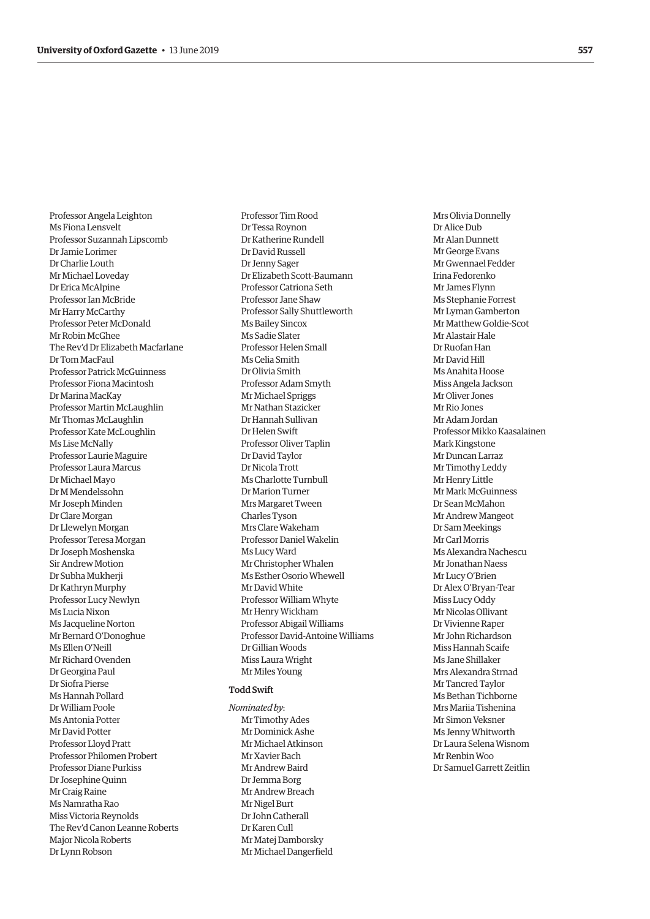Professor Angela Leighton Ms Fiona Lensvelt Professor Suzannah Lipscomb Dr Jamie Lorimer Dr Charlie Louth Mr Michael Loveday Dr Erica McAlpine Professor Ian McBride Mr Harry McCarthy Professor Peter McDonald Mr Robin McGhee The Rev'd Dr Elizabeth Macfarlane Dr Tom MacFaul Professor Patrick McGuinness Professor Fiona Macintosh Dr Marina MacKay Professor Martin McLaughlin Mr Thomas McLaughlin Professor Kate McLoughlin Ms Lise McNally Professor Laurie Maguire Professor Laura Marcus Dr Michael Mayo Dr M Mendelssohn Mr Joseph Minden Dr Clare Morgan Dr Llewelyn Morgan Professor Teresa Morgan Dr Joseph Moshenska Sir Andrew Motion Dr Subha Mukherji Dr Kathryn Murphy Professor Lucy Newlyn Ms Lucia Nixon Ms Jacqueline Norton Mr Bernard O'Donoghue Ms Ellen O'Neill Mr Richard Ovenden Dr Georgina Paul Dr Siofra Pierse Ms Hannah Pollard Dr William Poole Ms Antonia Potter Mr David Potter Professor Lloyd Pratt Professor Philomen Probert Professor Diane Purkiss Dr Josephine Quinn Mr Craig Raine Ms Namratha Rao Miss Victoria Reynolds The Rev'd Canon Leanne Roberts Major Nicola Roberts Dr Lynn Robson

Professor Tim Rood Dr Tessa Roynon Dr Katherine Rundell Dr David Russell Dr Jenny Sager Dr Elizabeth Scott-Baumann Professor Catriona Seth Professor Jane Shaw Professor Sally Shuttleworth Ms Bailey Sincox Ms Sadie Slater Professor Helen Small Ms Celia Smith Dr Olivia Smith Professor Adam Smyth Mr Michael Spriggs Mr Nathan Stazicker Dr Hannah Sullivan Dr Helen Swift Professor Oliver Taplin Dr David Taylor Dr Nicola Trott Ms Charlotte Turnbull Dr Marion Turner Mrs Margaret Tween Charles Tyson Mrs Clare Wakeham Professor Daniel Wakelin Ms Lucy Ward Mr Christopher Whalen Ms Esther Osorio Whewell Mr David White Professor William Whyte Mr Henry Wickham Professor Abigail Williams Professor David-Antoine Williams Dr Gillian Woods Miss Laura Wright Mr Miles Young

# Todd Swift

*Nominated by*: Mr Timothy Ades Mr Dominick Ashe Mr Michael Atkinson Mr Xavier Bach Mr Andrew Baird Dr Jemma Borg Mr Andrew Breach Mr Nigel Burt Dr John Catherall Dr Karen Cull Mr Matej Damborsky Mr Michael Dangerfield

Mrs Olivia Donnelly Dr Alice Dub Mr Alan Dunnett Mr George Evans Mr Gwennael Fedder Irina Fedorenko Mr James Flynn Ms Stephanie Forrest Mr Lyman Gamberton Mr Matthew Goldie-Scot Mr Alastair Hale Dr Ruofan Han Mr David Hill Ms Anahita Hoose Miss Angela Jackson Mr Oliver Jones Mr Rio Jones Mr Adam Jordan Professor Mikko Kaasalainen Mark Kingstone Mr Duncan Larraz Mr Timothy Leddy Mr Henry Little Mr Mark McGuinness Dr Sean McMahon Mr Andrew Mangeot Dr Sam Meekings Mr Carl Morris Ms Alexandra Nachescu Mr Jonathan Naess Mr Lucy O'Brien Dr Alex O'Bryan-Tear Miss Lucy Oddy Mr Nicolas Ollivant Dr Vivienne Raper Mr John Richardson Miss Hannah Scaife Ms Jane Shillaker Mrs Alexandra Strnad Mr Tancred Taylor Ms Bethan Tichborne Mrs Mariia Tishenina Mr Simon Veksner Ms Jenny Whitworth Dr Laura Selena Wisnom Mr Renbin Woo Dr Samuel Garrett Zeitlin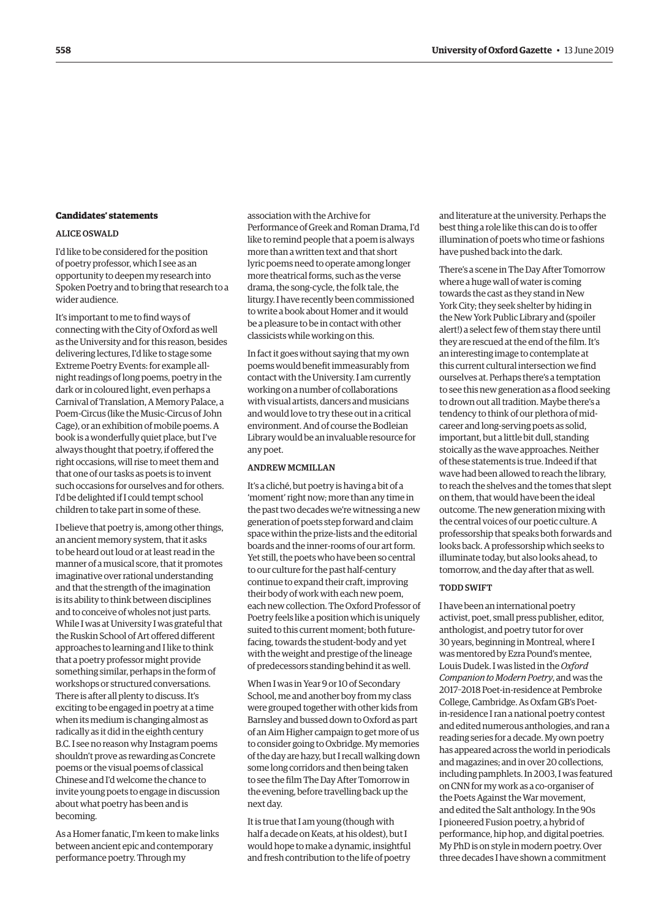#### <span id="page-11-0"></span>**Candidates' statements**

# ALICE OSWALD

I'd like to be considered for the position of poetry professor, which I see as an opportunity to deepen my research into Spoken Poetry and to bring that research to a wider audience.

It's important to me to find ways of connecting with the City of Oxford as well as the University and for this reason, besides delivering lectures, I'd like to stage some Extreme Poetry Events: for example allnight readings of long poems, poetry in the dark or in coloured light, even perhaps a Carnival of Translation, A Memory Palace, a Poem-Circus (like the Music-Circus of John Cage), or an exhibition of mobile poems. A book is a wonderfully quiet place, but I've always thought that poetry, if offered the right occasions, will rise to meet them and that one of our tasks as poets is to invent such occasions for ourselves and for others. I'd be delighted if I could tempt school children to take part in some of these.

I believe that poetry is, among other things, an ancient memory system, that it asks to be heard out loud or at least read in the manner of a musical score, that it promotes imaginative over rational understanding and that the strength of the imagination is its ability to think between disciplines and to conceive of wholes not just parts. While I was at University I was grateful that the Ruskin School of Art offered different approaches to learning and I like to think that a poetry professor might provide something similar, perhaps in the form of workshops or structured conversations. There is after all plenty to discuss. It's exciting to be engaged in poetry at a time when its medium is changing almost as radically as it did in the eighth century B.C. I see no reason why Instagram poems shouldn't prove as rewarding as Concrete poems or the visual poems of classical Chinese and I'd welcome the chance to invite young poets to engage in discussion about what poetry has been and is becoming.

As a Homer fanatic, I'm keen to make links between ancient epic and contemporary performance poetry. Through my

association with the Archive for Performance of Greek and Roman Drama, I'd like to remind people that a poem is always more than a written text and that short lyric poems need to operate among longer more theatrical forms, such as the verse drama, the song-cycle, the folk tale, the liturgy. I have recently been commissioned to write a book about Homer and it would be a pleasure to be in contact with other classicists while working on this.

In fact it goes without saying that my own poems would benefit immeasurably from contact with the University. I am currently working on a number of collaborations with visual artists, dancers and musicians and would love to try these out in a critical environment. And of course the Bodleian Library would be an invaluable resource for any poet.

#### ANDREW MCMILLAN

It's a cliché, but poetry is having a bit of a 'moment' right now; more than any time in the past two decades we're witnessing a new generation of poets step forward and claim space within the prize-lists and the editorial boards and the inner-rooms of our art form. Yet still, the poets who have been so central to our culture for the past half-century continue to expand their craft, improving their body of work with each new poem, each new collection. The Oxford Professor of Poetry feels like a position which is uniquely suited to this current moment; both futurefacing, towards the student-body and yet with the weight and prestige of the lineage of predecessors standing behind it as well.

When I was in Year 9 or 10 of Secondary School, me and another boy from my class were grouped together with other kids from Barnsley and bussed down to Oxford as part of an Aim Higher campaign to get more of us to consider going to Oxbridge. My memories of the day are hazy, but I recall walking down some long corridors and then being taken to see the film The Day After Tomorrow in the evening, before travelling back up the next day.

It is true that I am young (though with half a decade on Keats, at his oldest), but I would hope to make a dynamic, insightful and fresh contribution to the life of poetry

and literature at the university. Perhaps the best thing a role like this can do is to offer illumination of poets who time or fashions have pushed back into the dark.

There's a scene in The Day After Tomorrow where a huge wall of water is coming towards the cast as they stand in New York City; they seek shelter by hiding in the New York Public Library and (spoiler alert!) a select few of them stay there until they are rescued at the end of the film. It's an interesting image to contemplate at this current cultural intersection we find ourselves at. Perhaps there's a temptation to see this new generation as a flood seeking to drown out all tradition. Maybe there's a tendency to think of our plethora of midcareer and long-serving poets as solid, important, but a little bit dull, standing stoically as the wave approaches. Neither of these statements is true. Indeed if that wave had been allowed to reach the library, to reach the shelves and the tomes that slept on them, that would have been the ideal outcome. The new generation mixing with the central voices of our poetic culture. A professorship that speaks both forwards and looks back. A professorship which seeks to illuminate today, but also looks ahead, to tomorrow, and the day after that as well.

#### TODD SWIFT

I have been an international poetry activist, poet, small press publisher, editor, anthologist, and poetry tutor for over 30 years, beginning in Montreal, where I was mentored by Ezra Pound's mentee, Louis Dudek. I was listed in the *Oxford Companion to Modern Poetry*, and was the 2017–2018 Poet-in-residence at Pembroke College, Cambridge. As Oxfam GB's Poetin-residence I ran a national poetry contest and edited numerous anthologies, and ran a reading series for a decade. My own poetry has appeared across the world in periodicals and magazines; and in over 20 collections, including pamphlets. In 2003, I was featured on CNN for my work as a co-organiser of the Poets Against the War movement, and edited the Salt anthology. In the 90s I pioneered Fusion poetry, a hybrid of performance, hip hop, and digital poetries. My PhD is on style in modern poetry. Over three decades I have shown a commitment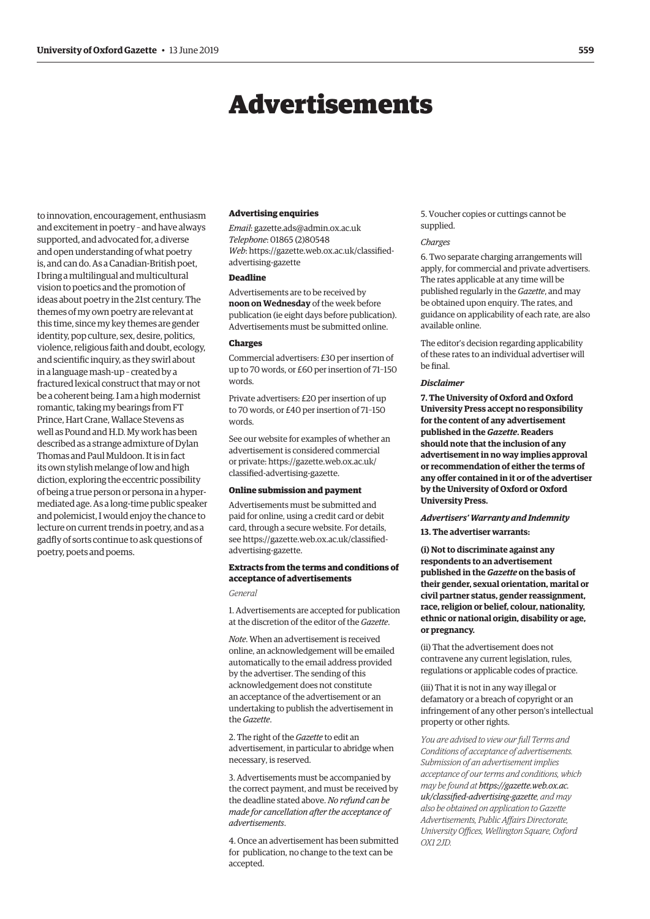# Advertisements

<span id="page-12-0"></span>to innovation, encouragement, enthusiasm and excitement in poetry – and have always supported, and advocated for, a diverse and open understanding of what poetry is, and can do. As a Canadian-British poet, I bring a multilingual and multicultural vision to poetics and the promotion of ideas about poetry in the 21st century. The themes of my own poetry are relevant at this time, since my key themes are gender identity, pop culture, sex, desire, politics, violence, religious faith and doubt, ecology, and scientific inquiry, as they swirl about in a language mash-up – created by a fractured lexical construct that may or not be a coherent being. I am a high modernist romantic, taking my bearings from FT Prince, Hart Crane, Wallace Stevens as well as Pound and H.D. My work has been described as a strange admixture of Dylan Thomas and Paul Muldoon. It is in fact its own stylish melange of low and high diction, exploring the eccentric possibility of being a true person or persona in a hypermediated age. As a long-time public speaker and polemicist, I would enjoy the chance to lecture on current trends in poetry, and as a gadfly of sorts continue to ask questions of poetry, poets and poems.

#### **Advertising enquiries**

*Email*: [gazette.ads@admin.ox.ac.uk](mailto:gazette.ads@admin.ox.ac.uk) *Telephone*: 01865 (2)80548 *Web*[: https://gazette.web.ox.ac.uk/classified](https://gazette.web.ox.ac.uk/classified-advertising-gazette)advertising-gazette

# **Deadline**

Advertisements are to be received by **noon on Wednesday** of the week before publication (ie eight days before publication). Advertisements must be submitted online.

#### **Charges**

Commercial advertisers: £30 per insertion of up to 70 words, or £60 per insertion of 71–150 words.

Private advertisers: £20 per insertion of up to 70 words, or £40 per insertion of 71–150 words.

See our website for examples of whether an advertisement is considered commercial [or private: https://gazette.web.ox.ac.uk/](https://gazette.web.ox.ac.uk/classified-advertising-gazette) classified-advertising-gazette.

#### **Online submission and payment**

Advertisements must be submitted and paid for online, using a credit card or debit card, through a secure website. For details, [see https://gazette.web.ox.ac.uk/classified](https://gazette.web.ox.ac.uk/classified-advertising-gazette)advertising-gazette.

# **Extracts from the terms and conditions of acceptance of advertisements**

*General*

1. Advertisements are accepted for publication at the discretion of the editor of the *Gazette*.

*Note*. When an advertisement is received online, an acknowledgement will be emailed automatically to the email address provided by the advertiser. The sending of this acknowledgement does not constitute an acceptance of the advertisement or an undertaking to publish the advertisement in the *Gazette*.

2. The right of the *Gazette* to edit an advertisement, in particular to abridge when necessary, is reserved.

3. Advertisements must be accompanied by the correct payment, and must be received by the deadline stated above. *No refund can be made for cancellation after the acceptance of advertisements*.

4. Once an advertisement has been submitted for publication, no change to the text can be accepted.

5. Voucher copies or cuttings cannot be supplied.

#### *Charges*

6. Two separate charging arrangements will apply, for commercial and private advertisers. The rates applicable at any time will be published regularly in the *Gazette*, and may be obtained upon enquiry. The rates, and guidance on applicability of each rate, are also available online.

The editor's decision regarding applicability of these rates to an individual advertiser will be final.

#### *Disclaimer*

**7. The University of Oxford and Oxford University Press accept no responsibility for the content of any advertisement published in the** *Gazette***. Readers should note that the inclusion of any advertisement in no way implies approval or recommendation of either the terms of any offer contained in it or of the advertiser by the University of Oxford or Oxford University Press.**

# *Advertisers' Warranty and Indemnity*

**13. The advertiser warrants:**

**(i) Not to discriminate against any respondents to an advertisement published in the** *Gazette* **on the basis of their gender, sexual orientation, marital or civil partner status, gender reassignment, race, religion or belief, colour, nationality, ethnic or national origin, disability or age, or pregnancy.**

(ii) That the advertisement does not contravene any current legislation, rules, regulations or applicable codes of practice.

(iii) That it is not in any way illegal or defamatory or a breach of copyright or an infringement of any other person's intellectual property or other rights.

*You are advised to view our full Terms and Conditions of acceptance of advertisements. Submission of an advertisement implies acceptance of our terms and conditions, which may be found at https://gazette.web.ox.ac. [uk/classified-advertising-gazette](https://gazette.web.ox.ac.uk/classified-advertising-gazette), and may also be obtained on application to Gazette Advertisements, Public Affairs Directorate, University Offices, Wellington Square, Oxford OX1 2JD.*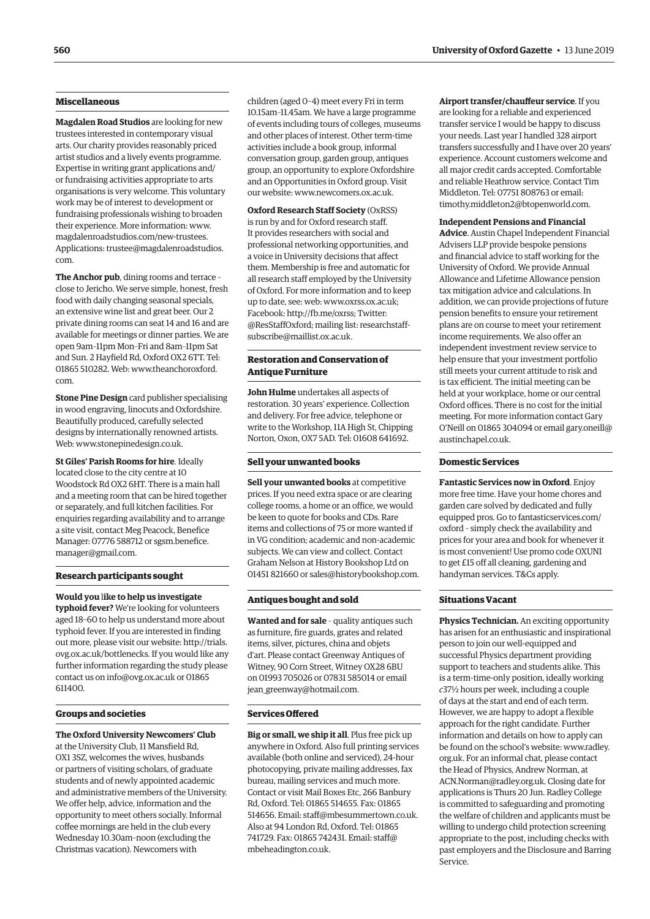# **Miscellaneous**

**Magdalen Road Studios** are looking for new trustees interested in contemporary visual arts. Our charity provides reasonably priced artist studios and a lively events programme. Expertise in writing grant applications and/ or fundraising activities appropriate to arts organisations is very welcome. This voluntary work may be of interest to development or fundraising professionals wishing to broaden their experience. More information: [www.](http://www.magdalenroadstudios.com/new-trustees) [magdalenroadstudios.com/new-trustees.](http://www.magdalenroadstudios.com/new-trustees) Applications: [trustee@magdalenroadstudios.](mailto:trustee@magdalenroadstudios.com) [com.](mailto:trustee@magdalenroadstudios.com)

**The Anchor pub**, dining rooms and terrace – close to Jericho. We serve simple, honest, fresh food with daily changing seasonal specials, an extensive wine list and great beer. Our 2 private dining rooms can seat 14 and 16 and are available for meetings or dinner parties. We are open 9am–11pm Mon–Fri and 8am–11pm Sat and Sun. 2 Hayfield Rd, Oxford OX2 6TT. Tel: 01865 510282. Web: [www.theanchoroxford.](http://www.theanchoroxford.com) [com.](http://www.theanchoroxford.com)

**Stone Pine Design** card publisher specialising in wood engraving, linocuts and Oxfordshire. Beautifully produced, carefully selected designs by internationally renowned artists. Web: [www.stonepinedesign.co.uk](http://www.stonepinedesign.co.uk).

**St Giles' Parish Rooms for hire**. Ideally located close to the city centre at 10 Woodstock Rd OX2 6HT. There is a main hall and a meeting room that can be hired together or separately, and full kitchen facilities. For enquiries regarding availability and to arrange a site visit, contact Meg Peacock, Benefice Manager: 07776 588712 or [sgsm.benefice.](mailto:sgsm.benefice.manager@gmail.com) [manager@gmail.com.](mailto:sgsm.benefice.manager@gmail.com)

#### **Research participants sought**

**Would you** l**ike to help us investigate typhoid fever?** We're looking for volunteers aged 18–60 to help us understand more about typhoid fever. If you are interested in finding out more, please visit our website: [http://trials.](http://trials.ovg.ox.ac.uk/bottlenecks) [ovg.ox.ac.uk/bottlenecks.](http://trials.ovg.ox.ac.uk/bottlenecks) If you would like any further information regarding the study please contact us on [info@ovg.ox.ac.uk](mailto:info@ovg.ox.ac.uk) or 01865 611400.

#### **Groups and societies**

**The Oxford University Newcomers' Club** at the University Club, 11 Mansfield Rd, OX1 3SZ, welcomes the wives, husbands or partners of visiting scholars, of graduate students and of newly appointed academic and administrative members of the University. We offer help, advice, information and the opportunity to meet others socially. Informal coffee mornings are held in the club every Wednesday 10.30am–noon (excluding the Christmas vacation). Newcomers with

children (aged 0–4) meet every Fri in term 10.15am–11.45am. We have a large programme of events including tours of colleges, museums and other places of interest. Other term-time activities include a book group, informal conversation group, garden group, antiques group, an opportunity to explore Oxfordshire and an Opportunities in Oxford group. Visit our website: [www.newcomers.ox.ac.uk](http://www.newcomers.ox.ac.uk).

**Oxford Research Staff Society** (OxRSS) is run by and for Oxford research staff. It provides researchers with social and professional networking opportunities, and a voice in University decisions that affect them. Membership is free and automatic for all research staff employed by the University of Oxford. For more information and to keep up to date, see: web: [www.oxrss.ox.ac.uk;](http://www.oxrss.ox.ac.uk) Facebook: [http://fb.me/oxrss;](http://fb.me/oxrss) Twitter: [@ResStaffOxford](https://twitter.com/resstaffoxford); mailing list: [researchstaff](mailto:researchstaff-subscribe@maillist.ox.ac.uk)[subscribe@maillist.ox.ac.uk](mailto:researchstaff-subscribe@maillist.ox.ac.uk).

#### **Restoration and Conservation of Antique Furniture**

**John Hulme** undertakes all aspects of restoration. 30 years' experience. Collection and delivery. For free advice, telephone or write to the Workshop, 11A High St, Chipping Norton, Oxon, OX7 5AD. Tel: 01608 641692.

#### **Sell your unwanted books**

**Sell your unwanted books** at competitive prices. If you need extra space or are clearing college rooms, a home or an office, we would be keen to quote for books and CDs. Rare items and collections of 75 or more wanted if in VG condition; academic and non-academic subjects. We can view and collect. Contact Graham Nelson at History Bookshop Ltd on 01451 821660 or [sales@historybookshop.com](mailto:sales@historybookshop.com).

#### **Antiques bought and sold**

**Wanted and for sale** – quality antiques such as furniture, fire guards, grates and related items, silver, pictures, china and objets d'art. Please contact Greenway Antiques of Witney, 90 Corn Street, Witney OX28 6BU on 01993 705026 or 07831 585014 or email jean greenway@hotmail.com.

## **Services Offered**

**Big or small, we ship it all**. Plus free pick up anywhere in Oxford. Also full printing services available (both online and serviced), 24-hour photocopying, private mailing addresses, fax bureau, mailing services and much more. Contact or visit Mail Boxes Etc, 266 Banbury Rd, Oxford. Tel: 01865 514655. Fax: 01865 514656. Email: [staff@mbesummertown.co.uk](mailto:staff@mbesummertown.co.uk). Also at 94 London Rd, Oxford. Tel: 01865 741729. Fax: 01865 742431. Email: [staff@](mailto:staff@mbeheadington.co.uk) [mbeheadington.co.uk](mailto:staff@mbeheadington.co.uk).

**Airport transfer/chauffeur service**. If you are looking for a reliable and experienced transfer service I would be happy to discuss your needs. Last year I handled 328 airport transfers successfully and I have over 20 years' experience. Account customers welcome and all major credit cards accepted. Comfortable and reliable Heathrow service. Contact Tim Middleton. Tel: 07751 808763 or email: [timothy.middleton2@btopenworld.com](mailto:timothy.middleton2@btopenworld.com).

#### **Independent Pensions and Financial**

**Advice**. Austin Chapel Independent Financial Advisers LLP provide bespoke pensions and financial advice to staff working for the University of Oxford. We provide Annual Allowance and Lifetime Allowance pension tax mitigation advice and calculations. In addition, we can provide projections of future pension benefits to ensure your retirement plans are on course to meet your retirement income requirements. We also offer an independent investment review service to help ensure that your investment portfolio still meets your current attitude to risk and is tax efficient. The initial meeting can be held at your workplace, home or our central Oxford offices. There is no cost for the initial meeting. For more information contact Gary O'Neill on 01865 304094 or email [gary.oneill@](mailto:gary.oneill@austinchapel.co.uk) [austinchapel.co.uk](mailto:gary.oneill@austinchapel.co.uk).

#### **Domestic Services**

**Fantastic Services now in Oxford**. Enjoy more free time. Have your home chores and garden care solved by dedicated and fully equipped pros. Go to [fantasticservices.com/](http://fantasticservices.com/oxford) [oxford](http://fantasticservices.com/oxford) – simply check the availability and prices for your area and book for whenever it is most convenient! Use promo code OXUNI to get £15 off all cleaning, gardening and handyman services. T&Cs apply.

#### **Situations Vacant**

**Physics Technician.** An exciting opportunity has arisen for an enthusiastic and inspirational person to join our well-equipped and successful Physics department providing support to teachers and students alike. This is a term-time-only position, ideally working *c*37½ hours per week, including a couple of days at the start and end of each term. However, we are happy to adopt a flexible approach for the right candidate. Further information and details on how to apply can be found on the school's website: [www.radley.](http://www.radley.org.uk) [org.uk.](http://www.radley.org.uk) For an informal chat, please contact the Head of Physics, Andrew Norman, at [ACN.Norman@radley.org.uk.](mailto:ACN.Norman@radley.org.uk) Closing date for applications is Thurs 20 Jun. Radley College is committed to safeguarding and promoting the welfare of children and applicants must be willing to undergo child protection screening appropriate to the post, including checks with past employers and the Disclosure and Barring Service.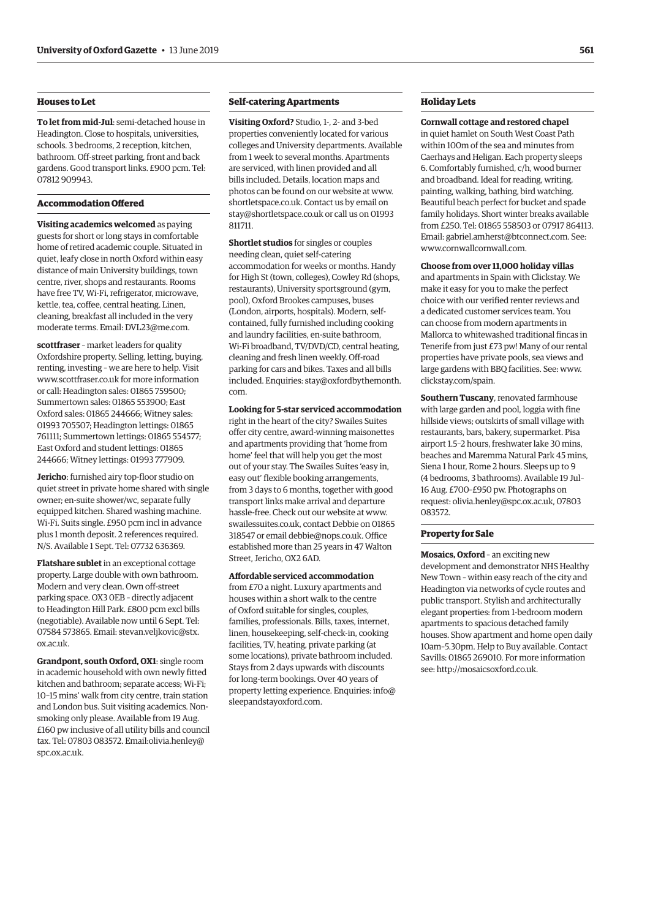# **Houses to Let**

**To let from mid-Jul**: semi-detached house in Headington. Close to hospitals, universities, schools. 3 bedrooms, 2 reception, kitchen, bathroom. Off-street parking, front and back gardens. Good transport links. £900 pcm. Tel: 07812 909943.

# **Accommodation Offered**

**Visiting academics welcomed** as paying guests for short or long stays in comfortable home of retired academic couple. Situated in quiet, leafy close in north Oxford within easy distance of main University buildings, town centre, river, shops and restaurants. Rooms have free TV, Wi-Fi, refrigerator, microwave, kettle, tea, coffee, central heating. Linen, cleaning, breakfast all included in the very moderate terms. Email: [DVL23@me.com](mailto:DVL23@me.com).

**scottfraser** – market leaders for quality Oxfordshire property. Selling, letting, buying, renting, investing – we are here to help. Visit [www.scottfraser.co.uk](http://www.scottfraser.co.uk) for more information or call: Headington sales: 01865 759500; Summertown sales: 01865 553900; East Oxford sales: 01865 244666; Witney sales: 01993 705507; Headington lettings: 01865 761111; Summertown lettings: 01865 554577; East Oxford and student lettings: 01865 244666; Witney lettings: 01993 777909.

**Jericho**: furnished airy top-floor studio on quiet street in private home shared with single owner; en-suite shower/wc, separate fully equipped kitchen. Shared washing machine. Wi-Fi. Suits single. £950 pcm incl in advance plus 1 month deposit. 2 references required. N/S. Available 1 Sept. Tel: 07732 636369.

**Flatshare sublet** in an exceptional cottage property. Large double with own bathroom. Modern and very clean. Own off-street parking space. OX3 0EB – directly adjacent to Headington Hill Park. £800 pcm excl bills (negotiable). Available now until 6 Sept. Tel: 07584 573865. Email: [stevan.veljkovic@stx.](mailto:stevan.veljkovic@stx.ox.ac.uk) [ox.ac.uk.](mailto:stevan.veljkovic@stx.ox.ac.uk)

**Grandpont, south Oxford, OX1**: single room in academic household with own newly fitted kitchen and bathroom; separate access; Wi-Fi; 10–15 mins' walk from city centre, train station and London bus. Suit visiting academics. Nonsmoking only please. Available from 19 Aug. £160 pw inclusive of all utility bills and council tax. Tel: 07803 083572. Ema[il:olivia.henley@](mailto:olivia.henley@spc.ox.ac.uk) [spc.ox.ac.uk.](mailto:olivia.henley@spc.ox.ac.uk)

# **Self-catering Apartments**

**Visiting Oxford?** Studio, 1-, 2- and 3-bed properties conveniently located for various colleges and University departments. Available from 1 week to several months. Apartments are serviced, with linen provided and all bills included. Details, location maps and photos can be found on our website at [www.](http://www.shortletspace.co.uk) [shortletspace.co.uk](http://www.shortletspace.co.uk). Contact us by email on [stay@shortletspace.co.uk](mailto:stay@shortletspace.co.uk) or call us on 01993 811711.

**Shortlet studios** for singles or couples needing clean, quiet self-catering accommodation for weeks or months. Handy for High St (town, colleges), Cowley Rd (shops, restaurants), University sportsground (gym, pool), Oxford Brookes campuses, buses (London, airports, hospitals). Modern, selfcontained, fully furnished including cooking and laundry facilities, en-suite bathroom, Wi-Fi broadband, TV/DVD/CD, central heating, cleaning and fresh linen weekly. Off-road parking for cars and bikes. Taxes and all bills included. Enquiries: [stay@oxfordbythemonth.](mailto:stay@oxfordbythemonth.com) [com.](mailto:stay@oxfordbythemonth.com)

**Looking for 5-star serviced accommodation**  right in the heart of the city? Swailes Suites offer city centre, award-winning maisonettes and apartments providing that 'home from home' feel that will help you get the most out of your stay. The Swailes Suites 'easy in, easy out' flexible booking arrangements, from 3 days to 6 months, together with good transport links make arrival and departure hassle-free. Check out our website at [www.](http://www.swailessuites.co.uk) [swailessuites.co.uk](http://www.swailessuites.co.uk), contact Debbie on 01865 318547 or email [debbie@nops.co.uk](mailto:debbie@nops.co.uk). Office established more than 25 years in 47 Walton Street, Jericho, OX2 6AD.

**Affordable serviced accommodation** from £70 a night. Luxury apartments and houses within a short walk to the centre of Oxford suitable for singles, couples, families, professionals. Bills, taxes, internet, linen, housekeeping, self-check-in, cooking facilities, TV, heating, private parking (at some locations), private bathroom included. Stays from 2 days upwards with discounts for long-term bookings. Over 40 years of property letting experience. Enquiries: [info@](mailto:info@sleepandstayoxford.com) [sleepandstayoxford.com.](mailto:info@sleepandstayoxford.com)

# **Holiday Lets**

#### **Cornwall cottage and restored chapel**

in quiet hamlet on South West Coast Path within 100m of the sea and minutes from Caerhays and Heligan. Each property sleeps 6. Comfortably furnished, c/h, wood burner and broadband. Ideal for reading, writing, painting, walking, bathing, bird watching. Beautiful beach perfect for bucket and spade family holidays. Short winter breaks available from £250. Tel: 01865 558503 or 07917 864113. Email: [gabriel.amherst@btconnect.com](mailto:gabriel.amherst@btconnect.com). See: [www.cornwallcornwall.com.](http://www.cornwallcornwall.com)

#### **Choose from over 11,000 holiday villas**

and apartments in Spain with Clickstay. We make it easy for you to make the perfect choice with our verified renter reviews and a dedicated customer services team. You can choose from modern apartments in Mallorca to whitewashed traditional fincas in Tenerife from just £73 pw! Many of our rental properties have private pools, sea views and large gardens with BBQ facilities. See: [www.](http://www.clickstay.com/spain) [clickstay.com/spain.](http://www.clickstay.com/spain)

**Southern Tuscany**, renovated farmhouse with large garden and pool, loggia with fine hillside views; outskirts of small village with restaurants, bars, bakery, supermarket. Pisa airport 1.5–2 hours, freshwater lake 30 mins, beaches and Maremma Natural Park 45 mins, Siena 1 hour, Rome 2 hours. Sleeps up to 9 (4 bedrooms, 3 bathrooms). Available 19 Jul– 16 Aug. £700–£950 pw. Photographs on request: [olivia.henley@spc.ox.ac.uk,](mailto:olivia.henley@spc.ox.ac.uk) 07803 083572.

# **Property for Sale**

**Mosaics, Oxford** – an exciting new development and demonstrator NHS Healthy New Town – within easy reach of the city and Headington via networks of cycle routes and public transport. Stylish and architecturally elegant properties: from 1-bedroom modern apartments to spacious detached family houses. Show apartment and home open daily 10am–5.30pm. Help to Buy available. Contact Savills: 01865 269010. For more information see:<http://mosaicsoxford.co.uk>.